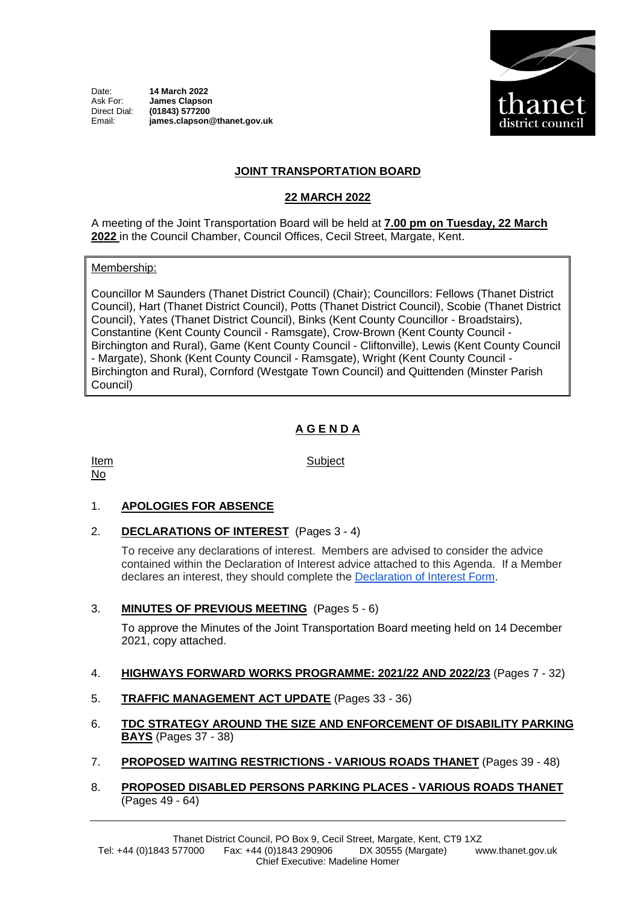Date: **14 March 2022**<br>Ask For: **James Clansor** Ask For: **James Clapson** Direct Dial: **(01843) 577200** Email: **james.clapson@thanet.gov.uk**



### **JOINT TRANSPORTATION BOARD**

### **22 MARCH 2022**

A meeting of the Joint Transportation Board will be held at **7.00 pm on Tuesday, 22 March 2022** in the Council Chamber, Council Offices, Cecil Street, Margate, Kent.

Membership:

Councillor M Saunders (Thanet District Council) (Chair); Councillors: Fellows (Thanet District Council), Hart (Thanet District Council), Potts (Thanet District Council), Scobie (Thanet District Council), Yates (Thanet District Council), Binks (Kent County Councillor - Broadstairs), Constantine (Kent County Council - Ramsgate), Crow-Brown (Kent County Council - Birchington and Rural), Game (Kent County Council - Cliftonville), Lewis (Kent County Council - Margate), Shonk (Kent County Council - Ramsgate), Wright (Kent County Council - Birchington and Rural), Cornford (Westgate Town Council) and Quittenden (Minster Parish Council)

# **A G E N D A**

Item No

Subject

### 1. **APOLOGIES FOR ABSENCE**

### 2. **DECLARATIONS OF INTEREST** (Pages 3 - 4)

To receive any declarations of interest. Members are advised to consider the advice contained within the Declaration of Interest advice attached to this Agenda. If a Member declares an interest, they should complete the [Declaration of Interest Form.](https://docs.google.com/forms/d/e/1FAIpQLSdYy7shF1kh6tvdSh3acxVRm70cKPLFkRBFNyVx2TgejRcm4w/viewform?usp=sf_link)

### 3. **MINUTES OF PREVIOUS MEETING** (Pages 5 - 6)

To approve the Minutes of the Joint Transportation Board meeting held on 14 December 2021, copy attached.

#### 4. **HIGHWAYS FORWARD WORKS PROGRAMME: 2021/22 AND 2022/23** (Pages 7 - 32)

- 5. **TRAFFIC MANAGEMENT ACT UPDATE** (Pages 33 36)
- 6. **TDC STRATEGY AROUND THE SIZE AND ENFORCEMENT OF DISABILITY PARKING BAYS** (Pages 37 - 38)
- 7. **PROPOSED WAITING RESTRICTIONS - VARIOUS ROADS THANET** (Pages 39 48)
- 8. **PROPOSED DISABLED PERSONS PARKING PLACES - VARIOUS ROADS THANET** (Pages 49 - 64)